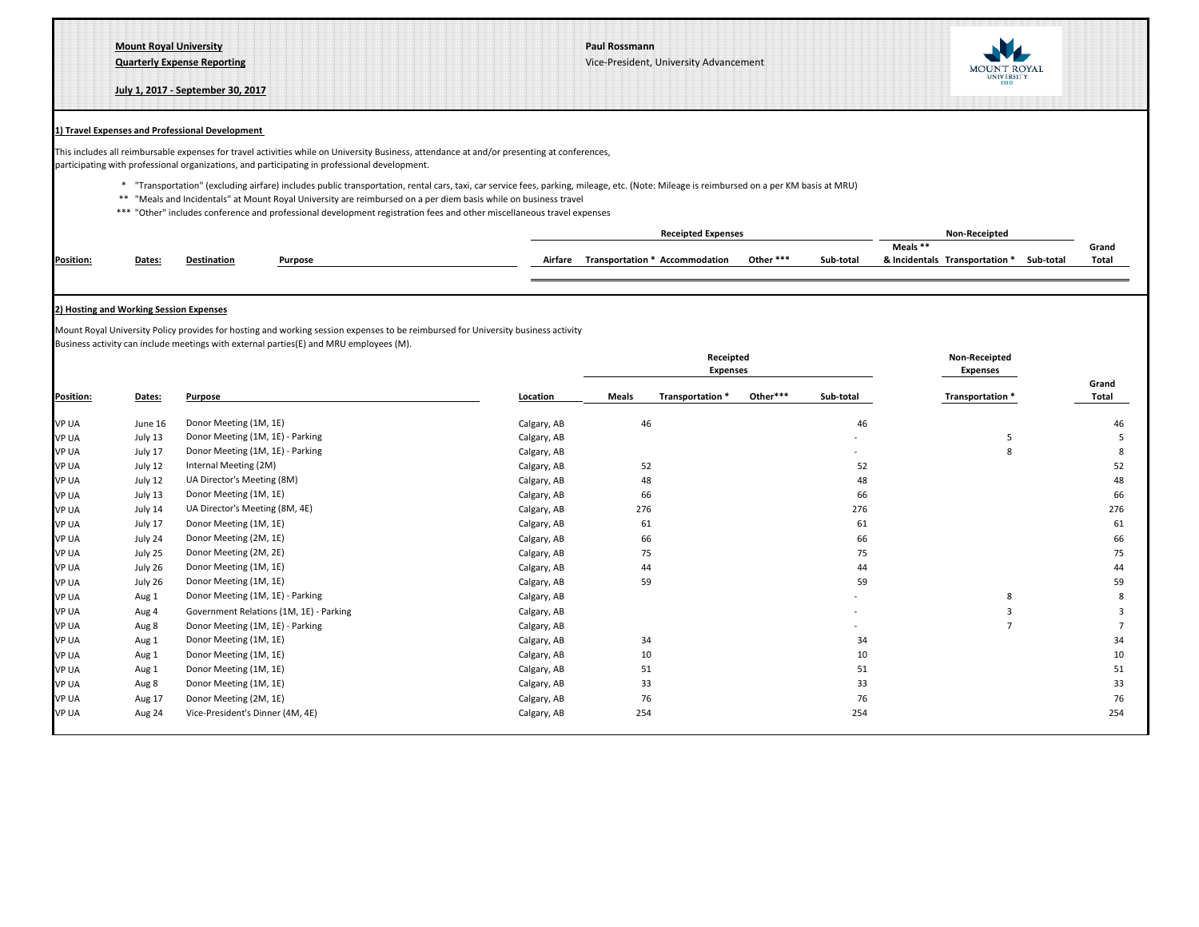**Mount Royal University Paul Rossmann**

**Quarterly Expense Reporting** Vice-President, University Advancement

**July 1, 2017 - September 30, 2017**



## **1) Travel Expenses and Professional Development**

This includes all reimbursable expenses for travel activities while on University Business, attendance at and/or presenting at conferences, participating with professional organizations, and participating in professional development.

- \* "Transportation" (excluding airfare) includes public transportation, rental cars, taxi, car service fees, parking, mileage, etc. (Note: Mileage is reimbursed on a per KM basis at MRU)
- \*\* "Meals and Incidentals" at Mount Royal University are reimbursed on a per diem basis while on business travel
- \*\*\* "Other" includes conference and professional development registration fees and other miscellaneous travel expenses

|           |        |             |         |         | <b>Receipted Expenses</b>      |           |           | Non-Receipted                  |           |       |
|-----------|--------|-------------|---------|---------|--------------------------------|-----------|-----------|--------------------------------|-----------|-------|
|           |        |             |         |         |                                |           |           | Meals **                       |           | Grand |
| Position: | Dates: | Destination | Purpose | Airfare | Transportation * Accommodation | Other *** | Sub-total | & Incidentals Transportation * | Sub-totai | Total |
|           |        |             |         |         |                                |           |           |                                |           |       |

## **2) Hosting and Working Session Expenses**

Mount Royal University Policy provides for hosting and working session expenses to be reimbursed for University business activity Business activity can include meetings with external parties(E) and MRU employees (M).

| Position:    |         | Purpose                                 | Location    | Receipted<br><b>Expenses</b> |                  |          |           | <b>Non-Receipted</b><br><b>Expenses</b> |                |
|--------------|---------|-----------------------------------------|-------------|------------------------------|------------------|----------|-----------|-----------------------------------------|----------------|
|              | Dates:  |                                         |             | <b>Meals</b>                 | Transportation * | Other*** | Sub-total | Transportation *                        | Grand<br>Total |
| <b>VP UA</b> | June 16 | Donor Meeting (1M, 1E)                  | Calgary, AB | 46                           |                  |          | 46        |                                         | 46             |
| <b>VP UA</b> | July 13 | Donor Meeting (1M, 1E) - Parking        | Calgary, AB |                              |                  |          |           | 5                                       |                |
| <b>VP UA</b> | July 17 | Donor Meeting (1M, 1E) - Parking        | Calgary, AB |                              |                  |          |           |                                         |                |
| <b>VP UA</b> | July 12 | Internal Meeting (2M)                   | Calgary, AB | 52                           |                  |          | 52        |                                         | 52             |
| <b>VP UA</b> | July 12 | UA Director's Meeting (8M)              | Calgary, AB | 48                           |                  |          | 48        |                                         | 48             |
| <b>VP UA</b> | July 13 | Donor Meeting (1M, 1E)                  | Calgary, AB | 66                           |                  |          | 66        |                                         | 66             |
| <b>VP UA</b> | July 14 | UA Director's Meeting (8M, 4E)          | Calgary, AB | 276                          |                  |          | 276       |                                         | 276            |
| <b>VP UA</b> | July 17 | Donor Meeting (1M, 1E)                  | Calgary, AB | 61                           |                  |          | 61        |                                         | 61             |
| <b>VP UA</b> | July 24 | Donor Meeting (2M, 1E)                  | Calgary, AB | 66                           |                  |          | 66        |                                         | 66             |
| <b>VP UA</b> | July 25 | Donor Meeting (2M, 2E)                  | Calgary, AB | 75                           |                  |          | 75        |                                         | 75             |
| <b>VP UA</b> | July 26 | Donor Meeting (1M, 1E)                  | Calgary, AB | 44                           |                  |          | 44        |                                         | 44             |
| <b>VP UA</b> | July 26 | Donor Meeting (1M, 1E)                  | Calgary, AB | 59                           |                  |          | 59        |                                         | 59             |
| <b>VP UA</b> | Aug 1   | Donor Meeting (1M, 1E) - Parking        | Calgary, AB |                              |                  |          |           | 8                                       |                |
| <b>VP UA</b> | Aug 4   | Government Relations (1M, 1E) - Parking | Calgary, AB |                              |                  |          |           |                                         |                |
| <b>VP UA</b> | Aug 8   | Donor Meeting (1M, 1E) - Parking        | Calgary, AB |                              |                  |          |           | 7                                       |                |
| <b>VP UA</b> | Aug 1   | Donor Meeting (1M, 1E)                  | Calgary, AB | 34                           |                  |          | 34        |                                         | 34             |
| <b>VP UA</b> | Aug 1   | Donor Meeting (1M, 1E)                  | Calgary, AB | 10                           |                  |          | 10        |                                         | 10             |
| <b>VP UA</b> | Aug 1   | Donor Meeting (1M, 1E)                  | Calgary, AB | 51                           |                  |          | 51        |                                         | 51             |
| <b>VP UA</b> | Aug 8   | Donor Meeting (1M, 1E)                  | Calgary, AB | 33                           |                  |          | 33        |                                         | 33             |
| <b>VP UA</b> | Aug 17  | Donor Meeting (2M, 1E)                  | Calgary, AB | 76                           |                  |          | 76        |                                         | 76             |
| <b>VP UA</b> | Aug 24  | Vice-President's Dinner (4M, 4E)        | Calgary, AB | 254                          |                  |          | 254       |                                         | 254            |